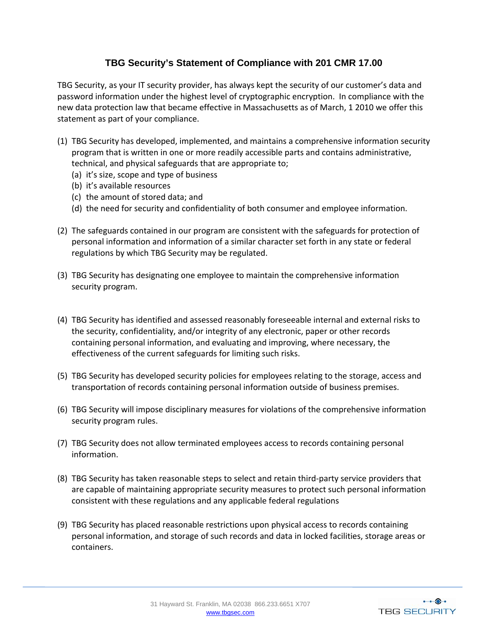## **TBG Security's Statement of Compliance with 201 CMR 17.00**

TBG Security, as your IT security provider, has always kept the security of our customer's data and password information under the highest level of cryptographic encryption. In compliance with the new data protection law that became effective in Massachusetts as of March, 1 2010 we offer this statement as part of your compliance.

- (1) TBG Security has developed, implemented, and maintains a comprehensive information security program that is written in one or more readily accessible parts and contains administrative, technical, and physical safeguards that are appropriate to;
	- (a) it's size, scope and type of business
	- (b) it's available resources
	- (c) the amount of stored data; and
	- (d) the need for security and confidentiality of both consumer and employee information.
- (2) The safeguards contained in our program are consistent with the safeguards for protection of personal information and information of a similar character set forth in any state or federal regulations by which TBG Security may be regulated.
- (3) TBG Security has designating one employee to maintain the comprehensive information security program.
- (4) TBG Security has identified and assessed reasonably foreseeable internal and external risks to the security, confidentiality, and/or integrity of any electronic, paper or other records containing personal information, and evaluating and improving, where necessary, the effectiveness of the current safeguards for limiting such risks.
- (5) TBG Security has developed security policies for employees relating to the storage, access and transportation of records containing personal information outside of business premises.
- (6) TBG Security will impose disciplinary measures for violations of the comprehensive information security program rules.
- (7) TBG Security does not allow terminated employees access to records containing personal information.
- (8) TBG Security has taken reasonable steps to select and retain third‐party service providers that are capable of maintaining appropriate security measures to protect such personal information consistent with these regulations and any applicable federal regulations
- (9) TBG Security has placed reasonable restrictions upon physical access to records containing personal information, and storage of such records and data in locked facilities, storage areas or containers.

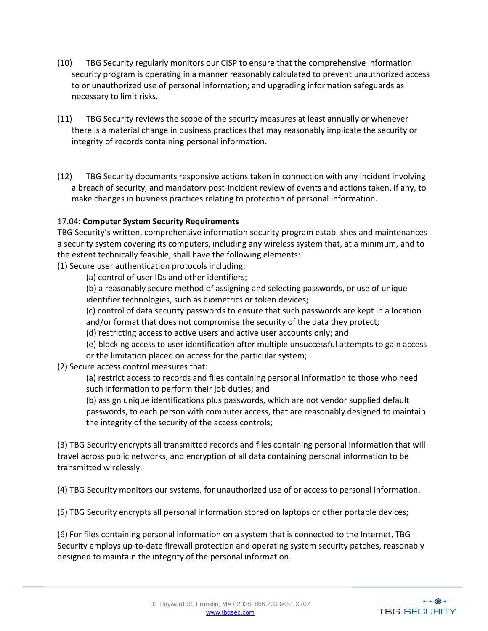- (10) TBG Security regularly monitors our CISP to ensure that the comprehensive information security program is operating in a manner reasonably calculated to prevent unauthorized access to or unauthorized use of personal information; and upgrading information safeguards as necessary to limit risks.
- (11) TBG Security reviews the scope of the security measures at least annually or whenever there is a material change in business practices that may reasonably implicate the security or integrity of records containing personal information.
- (12) TBG Security documents responsive actions taken in connection with any incident involving a breach of security, and mandatory post‐incident review of events and actions taken, if any, to make changes in business practices relating to protection of personal information.

## 17.04: **Computer System Security Requirements**

TBG Security's written, comprehensive information security program establishes and maintenances a security system covering its computers, including any wireless system that, at a minimum, and to the extent technically feasible, shall have the following elements:

(1) Secure user authentication protocols including:

(a) control of user IDs and other identifiers;

(b) a reasonably secure method of assigning and selecting passwords, or use of unique identifier technologies, such as biometrics or token devices;

(c) control of data security passwords to ensure that such passwords are kept in a location and/or format that does not compromise the security of the data they protect;

(d) restricting access to active users and active user accounts only; and

(e) blocking access to user identification after multiple unsuccessful attempts to gain access

or the limitation placed on access for the particular system;

(2) Secure access control measures that:

(a) restrict access to records and files containing personal information to those who need such information to perform their job duties; and

(b) assign unique identifications plus passwords, which are not vendor supplied default passwords, to each person with computer access, that are reasonably designed to maintain the integrity of the security of the access controls;

(3) TBG Security encrypts all transmitted records and files containing personal information that will travel across public networks, and encryption of all data containing personal information to be transmitted wirelessly.

(4) TBG Security monitors our systems, for unauthorized use of or access to personal information.

(5) TBG Security encrypts all personal information stored on laptops or other portable devices;

(6) For files containing personal information on a system that is connected to the Internet, TBG Security employs up-to-date firewall protection and operating system security patches, reasonably designed to maintain the integrity of the personal information.